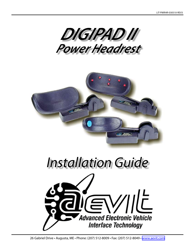



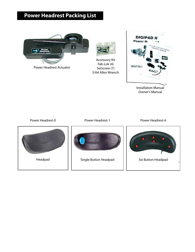### **Power Headrest Packing List**



Power Headrest Actuator



Accessory Kit Fab-Lok (4) Setscrew (7) 5/64 Allen Wrench



Installation Manual Owner's Manual

Power Headrest-0 **Power Headrest-1** Power Headrest-6





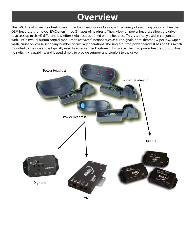## **Overview**

The EMC line of Power headrests gives individuals head support along with a variety of switching options when the OEM headrest is removed. EMC offers three (3) types of headrests. The six-button power headrest allows the driver to access up to six (6) different, low-effort switches positioned on the headrest. This is typically used in conjunction with EMC's two (2) button control modules to activate functions such as turn signals, horn, dimmer, wiper low, wiper wash, cruise on, cruise set or any number of auxiliary operations. The single-button power headrest has one (1) switch mounted to the side and is typically used to access either Digitone or Digivoice. The third power headrest option has no switching capability, and is used simply to provide support and comfort to the driver.

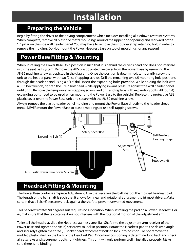# **Installation**

### **Preparing the Vehicle**

Begin by fitting the driver to the driving compartment which includes installing all tiedown restraint systems. When complete, remove all plastic or metal mouldings around the upper door opening and rearward of the "B" pillar on the side wall header panel. You may have to remove the shoulder strap retaining bolt in order to remove the molding. Do Not mount the Power Headrest Base on top of mouldings for any reason!

### **Power Base Fitting & Mounting**

When installing the Power Base Unit, position it such that it is behind the driver's head and does not interfere with the seat belt system. Remove the ABS plastic protective cover from the Power Base by removing the #8-32 machine screw as depicted in the diagrams. Once the position is determined, temporarily screw the unit to the header panel with two (2) self-tapping screws. Drill the remaining two (2) mounting hole positions through the header panel using a 5/16" drill. Insert the expanding bolts provided. While holding the bolt with a 5/8" box wrench, tighten the 5/16" bolt head while applying inward pressure against the wall header panel until tight. Remove the temporary self-tapping screws and drill and replace with expanding bolts. All four (4) expanding bolts need to be used when mounting the Power Base to the vehicle!! Replace the protective ABS plastic cover over the Power Base unit and secure with the #8-32 machine screw.

Always remove the plastic header panel molding and mount the Power Base directly to the header sheet metal. NEVER mount the Power Base to plastic moldings or use self-tapping screws.



### **Headrest Fitting & Mounting**

The Power Base contains a 1-piece Adjustment Arm that receives the ball shaft of the molded headrest pad. The length of the ball shaft is such that it allows for linear and rotational adjustment to fit most drivers. Make certain that all six (6) setscrews lock against the shaft to prevent unwanted movement.

This headrest rotates 90 degrees but requires no lubrication. When installing the pad on a Power Headrest-1 or -6, make sure that the telco cable does not interfere with the rotational motion of the adjustment arm.

To install the headrest, slide the Headrest stainless steel Ball Shaft into the adjustment arm receiver of the Power Base and tighten the six (6) setscrews to lock in position. Rotate the Headrest pad to the desired angle and securely tighten the three (3) socket head attachment bolts to lock into position. Do not remove the molded plastic shell on the back of the Headrest Pad! Once final positioning is determined, go back and check all setscrews and securement bolts for tightness. This unit will only perform well if installed properly. Make sure there is no binding!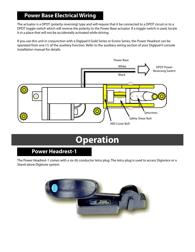### **Power Base Electrical Wiring**

The actuator is a DPDT (polarity reversing) type and will require that it be connected to a DPDT circuit or to a DPDT toggle switch which will reverse the polarity to the Power Base actuator. If a toggle switch is used, locate it in a place that will not be accidentally activated while driving.

If you use this unit in conjunction with a Digipad II Gold Series or Econo Series, the Power Headrest can be operated from one (1) of the auxiliary function. Refer to the auxiliary wiring section of your Digipad II console installation manual for details.



# **Operation**

### **Power Headrest-1**

The Power Headrest-1 comes with a six (6) conductor telco plug. The telco plug is used to access Digivoice or a Stand-alone Digitone system.

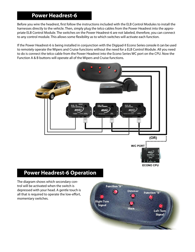### **Power Headrest-6**

Before you wire the headrest, first follow the instructions included with the ELB Control Modules to install the harnesses directly to the vehicle. Then, simply plug the telco cables from the Power Headrest into the appropriate ELB Control Module. The switches on the Power Headrest-6 are not labeled, therefore, you can connect to any control module. This allows some flexibility as to which switches will activate each function.

If the Power Headrest-6 is being installed in conjunction with the Digipad-II Econo Series console it can be used to remotely operate the Wipers and Cruise functions without the need for a ELB Control Module. All you need to do is connect the telco cable from the Power Headrest into the Econo Series WC port on the CPU. Now the Function A & B buttons will operate all of the Wipers and Cruise functions.



#### **Power Headrest-6 Operation**

The diagram shows which secondary control will be activated when the switch is depressed with your head. A gentle touch is all that is required to operate the low-effort, momentary switches.